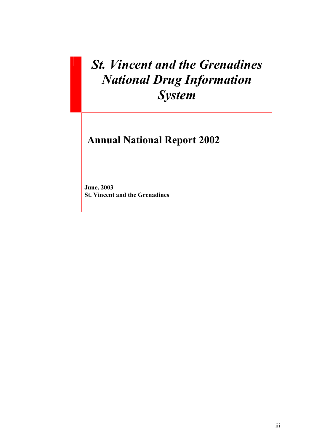# *St. Vincent and the Grenadines National Drug Information System*

# **Annual National Report 2002**

**June, 2003 St. Vincent and the Grenadines**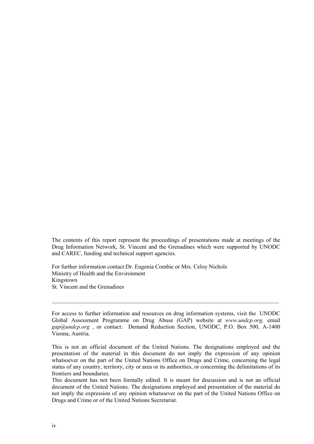The contents of this report represent the proceedings of presentations made at meetings of the Drug Information Network, St. Vincent and the Grenadines which were supported by UNODC and CAREC, funding and technical support agencies.

For further information contact:Dr. Eugenia Combie or Mrs. Celoy Nichols Ministry of Health and the Environment Kingstown St. Vincent and the Grenadines

For access to further information and resources on drug information systems, visit the UNODC Global Assessment Programme on Drug Abuse (GAP) website at *www.undcp.org,* email *gap@undcp.org* , or contact: Demand Reduction Section, UNODC, P.O. Box 500, A-1400 Vienna, Austria.

 $\mathcal{L}_\mathcal{L} = \{ \mathcal{L}_\mathcal{L} = \{ \mathcal{L}_\mathcal{L} = \{ \mathcal{L}_\mathcal{L} = \{ \mathcal{L}_\mathcal{L} = \{ \mathcal{L}_\mathcal{L} = \{ \mathcal{L}_\mathcal{L} = \{ \mathcal{L}_\mathcal{L} = \{ \mathcal{L}_\mathcal{L} = \{ \mathcal{L}_\mathcal{L} = \{ \mathcal{L}_\mathcal{L} = \{ \mathcal{L}_\mathcal{L} = \{ \mathcal{L}_\mathcal{L} = \{ \mathcal{L}_\mathcal{L} = \{ \mathcal{L}_\mathcal{$ 

This is not an official document of the United Nations. The designations employed and the presentation of the material in this document do not imply the expression of any opinion whatsoever on the part of the United Nations Office on Drugs and Crime, concerning the legal status of any country, territory, city or area or its authorities, or concerning the delimitations of its frontiers and boundaries.

This document has not been formally edited. It is meant for discussion and is not an official document of the United Nations. The designations employed and presentation of the material do not imply the expression of any opinion whatsoever on the part of the United Nations Office on Drugs and Crime or of the United Nations Secretariat.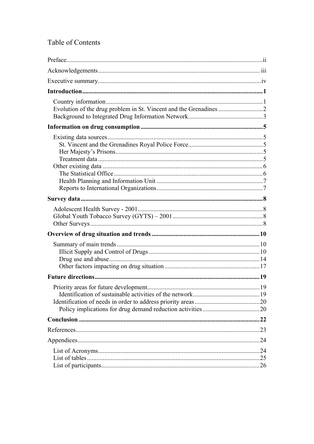## **Table of Contents**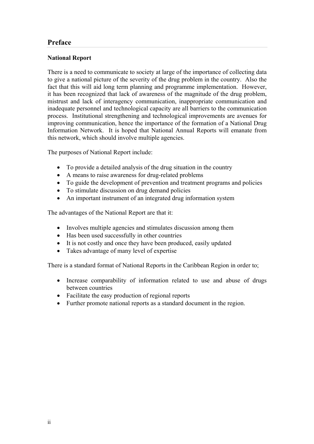## <span id="page-3-0"></span>**Preface**

### **National Report**

There is a need to communicate to society at large of the importance of collecting data to give a national picture of the severity of the drug problem in the country. Also the fact that this will aid long term planning and programme implementation. However, it has been recognized that lack of awareness of the magnitude of the drug problem, mistrust and lack of interagency communication, inappropriate communication and inadequate personnel and technological capacity are all barriers to the communication process. Institutional strengthening and technological improvements are avenues for improving communication, hence the importance of the formation of a National Drug Information Network. It is hoped that National Annual Reports will emanate from this network, which should involve multiple agencies.

The purposes of National Report include:

- To provide a detailed analysis of the drug situation in the country
- A means to raise awareness for drug-related problems
- To guide the development of prevention and treatment programs and policies
- To stimulate discussion on drug demand policies
- An important instrument of an integrated drug information system

The advantages of the National Report are that it:

- Involves multiple agencies and stimulates discussion among them
- Has been used successfully in other countries
- It is not costly and once they have been produced, easily updated
- Takes advantage of many level of expertise

There is a standard format of National Reports in the Caribbean Region in order to;

- Increase comparability of information related to use and abuse of drugs between countries
- Facilitate the easy production of regional reports
- Further promote national reports as a standard document in the region.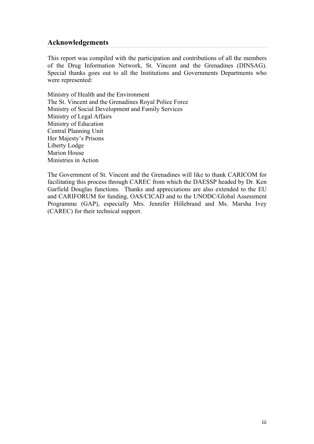## <span id="page-4-0"></span>**Acknowledgements**

This report was compiled with the participation and contributions of all the members of the Drug Information Network, St. Vincent and the Grenadines (DINSAG). Special thanks goes out to all the Institutions and Governments Departments who were represented:

Ministry of Health and the Environment The St. Vincent and the Grenadines Royal Police Force Ministry of Social Development and Family Services Ministry of Legal Affairs Ministry of Education Central Planning Unit Her Majesty's Prisons Liberty Lodge Marion House Ministries in Action

The Government of St. Vincent and the Grenadines will like to thank CARICOM for facilitating this process through CAREC from which the DAESSP headed by Dr. Ken Garfield Douglas functions. Thanks and appreciations are also extended to the EU and CARIFORUM for funding, OAS/CICAD and to the UNODC/Global Assessment Programme (GAP), especially Mrs. Jennifer Hillebrand and Ms. Marsha Ivey (CAREC) for their technical support.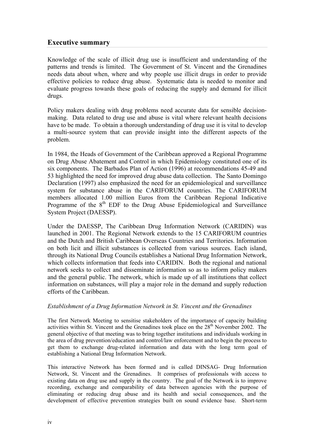## <span id="page-5-0"></span>**Executive summary**

Knowledge of the scale of illicit drug use is insufficient and understanding of the patterns and trends is limited. The Government of St. Vincent and the Grenadines needs data about when, where and why people use illicit drugs in order to provide effective policies to reduce drug abuse. Systematic data is needed to monitor and evaluate progress towards these goals of reducing the supply and demand for illicit drugs.

Policy makers dealing with drug problems need accurate data for sensible decisionmaking. Data related to drug use and abuse is vital where relevant health decisions have to be made. To obtain a thorough understanding of drug use it is vital to develop a multi-source system that can provide insight into the different aspects of the problem.

In 1984, the Heads of Government of the Caribbean approved a Regional Programme on Drug Abuse Abatement and Control in which Epidemiology constituted one of its six components. The Barbados Plan of Action (1996) at recommendations 45-49 and 53 highlighted the need for improved drug abuse data collection. The Santo Domingo Declaration (1997) also emphasized the need for an epidemiological and surveillance system for substance abuse in the CARIFORUM countries. The CARIFORUM members allocated 1.00 million Euros from the Caribbean Regional Indicative Programme of the 8<sup>th</sup> EDF to the Drug Abuse Epidemiological and Surveillance System Project (DAESSP).

Under the DAESSP, The Caribbean Drug Information Network (CARIDIN) was launched in 2001. The Regional Network extends to the 15 CARIFORUM countries and the Dutch and British Caribbean Overseas Countries and Territories. Information on both licit and illicit substances is collected from various sources. Each island, through its National Drug Councils establishes a National Drug Information Network, which collects information that feeds into CARIDIN. Both the regional and national network seeks to collect and disseminate information so as to inform policy makers and the general public. The network, which is made up of all institutions that collect information on substances, will play a major role in the demand and supply reduction efforts of the Caribbean.

#### *Establishment of a Drug Information Network in St. Vincent and the Grenadines*

The first Network Meeting to sensitise stakeholders of the importance of capacity building activities within St. Vincent and the Grenadines took place on the  $28<sup>th</sup>$  November 2002. The general objective of that meeting was to bring together institutions and individuals working in the area of drug prevention/education and control/law enforcement and to begin the process to get them to exchange drug-related information and data with the long term goal of establishing a National Drug Information Network.

This interactive Network has been formed and is called DINSAG- Drug Information Network, St. Vincent and the Grenadines. It comprises of professionals with access to existing data on drug use and supply in the country. The goal of the Network is to improve recording, exchange and comparability of data between agencies with the purpose of eliminating or reducing drug abuse and its health and social consequences, and the development of effective prevention strategies built on sound evidence base. Short-term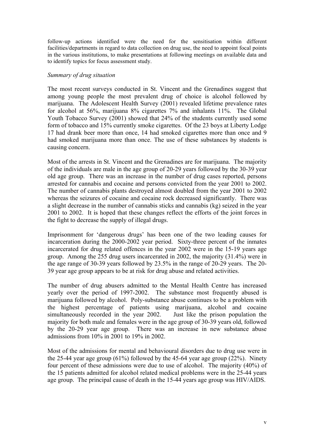follow-up actions identified were the need for the sensitisation within different facilities/departments in regard to data collection on drug use, the need to appoint focal points in the various institutions, to make presentations at following meetings on available data and to identify topics for focus assessment study.

#### *Summary of drug situation*

The most recent surveys conducted in St. Vincent and the Grenadines suggest that among young people the most prevalent drug of choice is alcohol followed by marijuana. The Adolescent Health Survey (2001) revealed lifetime prevalence rates for alcohol at 56%, marijuana 8% cigarettes 7% and inhalants 11%. The Global Youth Tobacco Survey (2001) showed that 24% of the students currently used some form of tobacco and 15% currently smoke cigarettes. Of the 23 boys at Liberty Lodge 17 had drank beer more than once, 14 had smoked cigarettes more than once and 9 had smoked marijuana more than once. The use of these substances by students is causing concern.

Most of the arrests in St. Vincent and the Grenadines are for marijuana. The majority of the individuals are male in the age group of 20-29 years followed by the 30-39 year old age group. There was an increase in the number of drug cases reported, persons arrested for cannabis and cocaine and persons convicted from the year 2001 to 2002. The number of cannabis plants destroyed almost doubled from the year 2001 to 2002 whereas the seizures of cocaine and cocaine rock decreased significantly. There was a slight decrease in the number of cannabis sticks and cannabis (kg) seized in the year 2001 to 2002. It is hoped that these changes reflect the efforts of the joint forces in the fight to decrease the supply of illegal drugs.

Imprisonment for 'dangerous drugs' has been one of the two leading causes for incarceration during the 2000-2002 year period. Sixty-three percent of the inmates incarcerated for drug related offences in the year 2002 were in the 15-19 years age group. Among the 255 drug users incarcerated in 2002, the majority (31.4%) were in the age range of 30-39 years followed by 23.5% in the range of 20-29 years. The 20- 39 year age group appears to be at risk for drug abuse and related activities.

The number of drug abusers admitted to the Mental Health Centre has increased yearly over the period of 1997-2002. The substance most frequently abused is marijuana followed by alcohol. Poly-substance abuse continues to be a problem with the highest percentage of patients using marijuana, alcohol and cocaine simultaneously recorded in the year 2002. Just like the prison population the majority for both male and females were in the age group of 30-39 years old, followed by the 20-29 year age group. There was an increase in new substance abuse admissions from 10% in 2001 to 19% in 2002.

Most of the admissions for mental and behavioural disorders due to drug use were in the 25-44 year age group  $(61\%)$  followed by the 45-64 year age group  $(22\%)$ . Ninety four percent of these admissions were due to use of alcohol. The majority (40%) of the 15 patients admitted for alcohol related medical problems were in the 25-44 years age group. The principal cause of death in the 15-44 years age group was HIV/AIDS.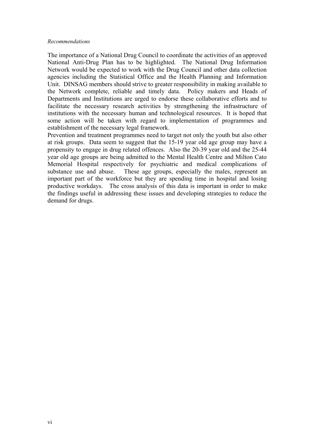#### *Recommendations*

The importance of a National Drug Council to coordinate the activities of an approved National Anti-Drug Plan has to be highlighted. The National Drug Information Network would be expected to work with the Drug Council and other data collection agencies including the Statistical Office and the Health Planning and Information Unit. DINSAG members should strive to greater responsibility in making available to the Network complete, reliable and timely data. Policy makers and Heads of Departments and Institutions are urged to endorse these collaborative efforts and to facilitate the necessary research activities by strengthening the infrastructure of institutions with the necessary human and technological resources. It is hoped that some action will be taken with regard to implementation of programmes and establishment of the necessary legal framework.

Prevention and treatment programmes need to target not only the youth but also other at risk groups. Data seem to suggest that the 15-19 year old age group may have a propensity to engage in drug related offences. Also the 20-39 year old and the 25-44 year old age groups are being admitted to the Mental Health Centre and Milton Cato Memorial Hospital respectively for psychiatric and medical complications of substance use and abuse. These age groups, especially the males, represent an important part of the workforce but they are spending time in hospital and losing productive workdays. The cross analysis of this data is important in order to make the findings useful in addressing these issues and developing strategies to reduce the demand for drugs.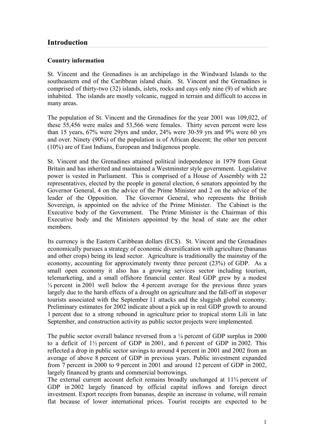## <span id="page-8-0"></span>**Introduction**

#### **Country information**

St. Vincent and the Grenadines is an archipelago in the Windward Islands to the southeastern end of the Caribbean island chain. St. Vincent and the Grenadines is comprised of thirty-two (32) islands, islets, rocks and cays only nine (9) of which are inhabited. The islands are mostly volcanic, rugged in terrain and difficult to access in many areas.

The population of St. Vincent and the Grenadines for the year 2001 was 109,022, of these 55,456 were males and 53,566 were females. Thirty seven percent were less than 15 years, 67% were 29yrs and under, 24% were 30-59 yrs and 9% were 60 yrs and over. Ninety (90%) of the population is of African descent; the other ten percent (10%) are of East Indians, European and Indigenous people.

St. Vincent and the Grenadines attained political independence in 1979 from Great Britain and has inherited and maintained a Westminster style government. Legislative power is vested in Parliament. This is comprised of a House of Assembly with 22 representatives, elected by the people in general election, 6 senators appointed by the Governor General, 4 on the advice of the Prime Minister and 2 on the advice of the leader of the Opposition. The Governor General, who represents the British Sovereign, is appointed on the advice of the Prime Minister. The Cabinet is the Executive body of the Government. The Prime Minister is the Chairman of this Executive body and the Ministers appointed by the head of state are the other members.

Its currency is the Eastern Caribbean dollars (EC\$). St. Vincent and the Grenadines economically pursues a strategy of economic diversification with agriculture (bananas and other crops) being its lead sector. Agriculture is traditionally the mainstay of the economy, accounting for approximately twenty three percent (23%) of GDP. As a small open economy it also has a growing services sector including tourism, telemarketing, and a small offshore financial center. Real GDP grew by a modest  $\frac{1}{4}$  percent in 2001 well below the 4 percent average for the previous three years largely due to the harsh effects of a drought on agriculture and the fall-off in stopover tourists associated with the September 11 attacks and the sluggish global economy. Preliminary estimates for 2002 indicate about a pick up in real GDP growth to around 1 percent due to a strong rebound in agriculture prior to tropical storm Lili in late September, and construction activity as public sector projects were implemented.

The public sector overall balance reversed from a  $\frac{1}{4}$  percent of GDP surplus in 2000 to a deficit of 1½ percent of GDP in 2001, and 6 percent of GDP in 2002. This reflected a drop in public sector savings to around 4 percent in 2001 and 2002 from an average of above 8 percent of GDP in previous years. Public investment expanded from 7 percent in 2000 to 9 percent in 2001 and around 12 percent of GDP in 2002, largely financed by grants and commercial borrowings.

The external current account deficit remains broadly unchanged at 11¾ percent of GDP in 2002 largely financed by official capital inflows and foreign direct investment. Export receipts from bananas, despite an increase in volume, will remain flat because of lower international prices. Tourist receipts are expected to be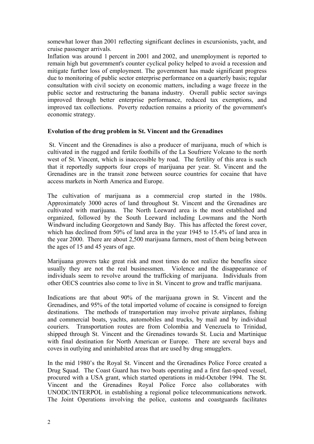<span id="page-9-0"></span>somewhat lower than 2001 reflecting significant declines in excursionists, yacht, and cruise passenger arrivals.

Inflation was around 1 percent in 2001 and 2002, and unemployment is reported to remain high but government's counter cyclical policy helped to avoid a recession and mitigate further loss of employment. The government has made significant progress due to monitoring of public sector enterprise performance on a quarterly basis; regular consultation with civil society on economic matters, including a wage freeze in the public sector and restructuring the banana industry. Overall public sector savings improved through better enterprise performance, reduced tax exemptions, and improved tax collections. Poverty reduction remains a priority of the government's economic strategy.

#### **Evolution of the drug problem in St. Vincent and the Grenadines**

St. Vincent and the Grenadines is also a producer of marijuana, much of which is cultivated in the rugged and fertile foothills of the La Soufriere Volcano to the north west of St. Vincent, which is inaccessible by road. The fertility of this area is such that it reportedly supports four crops of marijuana per year. St. Vincent and the Grenadines are in the transit zone between source countries for cocaine that have access markets in North America and Europe.

The cultivation of marijuana as a commercial crop started in the 1980s. Approximately 3000 acres of land throughout St. Vincent and the Grenadines are cultivated with marijuana. The North Leeward area is the most established and organized, followed by the South Leeward including Lowmans and the North Windward including Georgetown and Sandy Bay. This has affected the forest cover, which has declined from 50% of land area in the year 1945 to 15.4% of land area in the year 2000. There are about 2,500 marijuana farmers, most of them being between the ages of 15 and 45 years of age.

Marijuana growers take great risk and most times do not realize the benefits since usually they are not the real businessmen. Violence and the disappearance of individuals seem to revolve around the trafficking of marijuana. Individuals from other OECS countries also come to live in St. Vincent to grow and traffic marijuana.

Indications are that about 90% of the marijuana grown in St. Vincent and the Grenadines, and 95% of the total imported volume of cocaine is consigned to foreign destinations. The methods of transportation may involve private airplanes, fishing and commercial boats, yachts, automobiles and trucks, by mail and by individual couriers. Transportation routes are from Colombia and Venezuela to Trinidad, shipped through St. Vincent and the Grenadines towards St. Lucia and Martinique with final destination for North American or Europe. There are several bays and coves in outlying and uninhabited areas that are used by drug smugglers.

In the mid 1980's the Royal St. Vincent and the Grenadines Police Force created a Drug Squad. The Coast Guard has two boats operating and a first fast-speed vessel, procured with a USA grant, which started operations in mid-October 1994. The St. Vincent and the Grenadines Royal Police Force also collaborates with UNODC/INTERPOL in establishing a regional police telecommunications network. The Joint Operations involving the police, customs and coastguards facilitates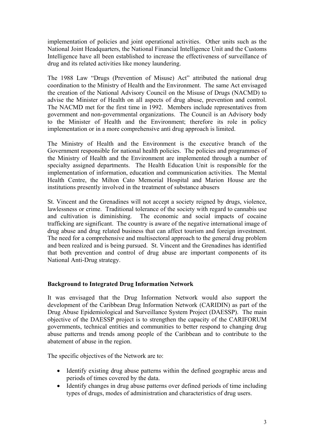<span id="page-10-0"></span>implementation of policies and joint operational activities. Other units such as the National Joint Headquarters, the National Financial Intelligence Unit and the Customs Intelligence have all been established to increase the effectiveness of surveillance of drug and its related activities like money laundering.

The 1988 Law "Drugs (Prevention of Misuse) Act" attributed the national drug coordination to the Ministry of Health and the Environment. The same Act envisaged the creation of the National Advisory Council on the Misuse of Drugs (NACMD) to advise the Minister of Health on all aspects of drug abuse, prevention and control. The NACMD met for the first time in 1992. Members include representatives from government and non-governmental organizations. The Council is an Advisory body to the Minister of Health and the Environment; therefore its role in policy implementation or in a more comprehensive anti drug approach is limited.

The Ministry of Health and the Environment is the executive branch of the Government responsible for national health policies. The policies and programmes of the Ministry of Health and the Environment are implemented through a number of specialty assigned departments. The Health Education Unit is responsible for the implementation of information, education and communication activities. The Mental Health Centre, the Milton Cato Memorial Hospital and Marion House are the institutions presently involved in the treatment of substance abusers

St. Vincent and the Grenadines will not accept a society reigned by drugs, violence, lawlessness or crime. Traditional tolerance of the society with regard to cannabis use and cultivation is diminishing. The economic and social impacts of cocaine trafficking are significant. The country is aware of the negative international image of drug abuse and drug related business that can affect tourism and foreign investment. The need for a comprehensive and multisectoral approach to the general drug problem and been realized and is being pursued. St. Vincent and the Grenadines has identified that both prevention and control of drug abuse are important components of its National Anti-Drug strategy.

#### **Background to Integrated Drug Information Network**

It was envisaged that the Drug Information Network would also support the development of the Caribbean Drug Information Network (CARIDIN) as part of the Drug Abuse Epidemiological and Surveillance System Project (DAESSP). The main objective of the DAESSP project is to strengthen the capacity of the CARIFORUM governments, technical entities and communities to better respond to changing drug abuse patterns and trends among people of the Caribbean and to contribute to the abatement of abuse in the region.

The specific objectives of the Network are to:

- Identify existing drug abuse patterns within the defined geographic areas and periods of times covered by the data.
- Identify changes in drug abuse patterns over defined periods of time including types of drugs, modes of administration and characteristics of drug users.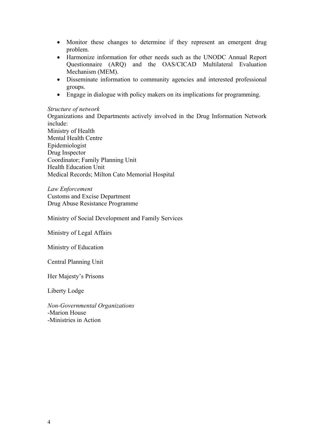- Monitor these changes to determine if they represent an emergent drug problem.
- Harmonize information for other needs such as the UNODC Annual Report Questionnaire (ARQ) and the OAS/CICAD Multilateral Evaluation Mechanism (MEM).
- Disseminate information to community agencies and interested professional groups.
- Engage in dialogue with policy makers on its implications for programming.

#### *Structure of network*

Organizations and Departments actively involved in the Drug Information Network include: Ministry of Health Mental Health Centre Epidemiologist Drug Inspector Coordinator; Family Planning Unit Health Education Unit Medical Records; Milton Cato Memorial Hospital

*Law Enforcement*  Customs and Excise Department Drug Abuse Resistance Programme

Ministry of Social Development and Family Services

Ministry of Legal Affairs

Ministry of Education

Central Planning Unit

Her Majesty's Prisons

Liberty Lodge

*Non-Governmental Organizations*  -Marion House -Ministries in Action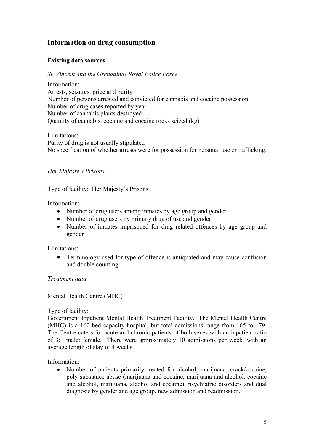## <span id="page-12-0"></span>**Information on drug consumption**

#### **Existing data sources**

#### *St. Vincent and the Grenadines Royal Police Force*

Information: Arrests, seizures, price and purity Number of persons arrested and convicted for cannabis and cocaine possession Number of drug cases reported by year Number of cannabis plants destroyed Quantity of cannabis, cocaine and cocaine rocks seized (kg)

Limitations: Purity of drug is not usually stipulated No specification of whether arrests were for possession for personal use or trafficking.

#### *Her Majesty's Prisons*

Type of facility: Her Majesty's Prisons

Information:

- Number of drug users among inmates by age group and gender
- Number of drug users by primary drug of use and gender
- Number of inmates imprisoned for drug related offences by age group and gender

Limitations:

• Terminology used for type of offence is antiquated and may cause confusion and double counting

*Treatment data* 

Mental Health Centre (MHC)

Type of facility:

Government Inpatient Mental Health Treatment Facility. The Mental Health Centre (MHC) is a 160-bed capacity hospital, but total admissions range from 165 to 179. The Centre caters for acute and chronic patients of both sexes with an inpatient ratio of 3:1 male: female. There were approximately 10 admissions per week, with an average length of stay of 4 weeks.

Information:

• Number of patients primarily treated for alcohol, marijuana, crack/cocaine, poly-substance abuse (marijuana and cocaine, marijuana and alcohol, cocaine and alcohol, marijuana, alcohol and cocaine), psychiatric disorders and dual diagnosis by gender and age group, new admission and readmission.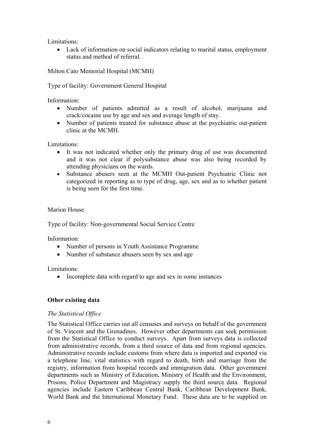<span id="page-13-0"></span>Limitations:

• Lack of information on social indicators relating to marital status, employment status and method of referral.

Milton Cato Memorial Hospital (MCMH)

Type of facility: Government General Hospital

Information:

- Number of patients admitted as a result of alcohol, marijuana and crack/cocaine use by age and sex and average length of stay.
- Number of patients treated for substance abuse at the psychiatric out-patient clinic at the MCMH.

Limitations:

- It was not indicated whether only the primary drug of use was documented and it was not clear if polysubstance abuse was also being recorded by attending physicians on the wards.
- Substance abusers seen at the MCMH Out-patient Psychiatric Clinic not categorized in reporting as to type of drug, age, sex and as to whether patient is being seen for the first time.

#### Marion House

Type of facility: Non-governmental Social Service Centre

Information:

- Number of persons in Youth Assistance Programme
- Number of substance abusers seen by sex and age

Limitations:

• Incomplete data with regard to age and sex in some instances

#### **Other existing data**

#### *The Statistical Office*

The Statistical Office carries out all censuses and surveys on behalf of the government of St. Vincent and the Grenadines. However other departments can seek permission from the Statistical Office to conduct surveys. Apart from surveys data is collected from administrative records, from a third source of data and from regional agencies. Administrative records include customs from where data is imported and exported via a telephone line, vital statistics with regard to death, birth and marriage from the registry, information from hospital records and immigration data. Other government departments such as Ministry of Education, Ministry of Health and the Environment, Prisons, Police Department and Magistracy supply the third source data. Regional agencies include Eastern Caribbean Central Bank, Caribbean Development Bank, World Bank and the International Monetary Fund. These data are to be supplied on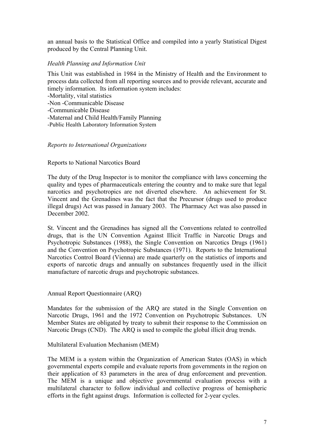<span id="page-14-0"></span>an annual basis to the Statistical Office and compiled into a yearly Statistical Digest produced by the Central Planning Unit.

#### *Health Planning and Information Unit*

This Unit was established in 1984 in the Ministry of Health and the Environment to process data collected from all reporting sources and to provide relevant, accurate and timely information. Its information system includes:

-Mortality, vital statistics

-Non -Communicable Disease

-Communicable Disease

-Maternal and Child Health/Family Planning

-Public Health Laboratory Information System

#### *Reports to International Organizations*

#### Reports to National Narcotics Board

The duty of the Drug Inspector is to monitor the compliance with laws concerning the quality and types of pharmaceuticals entering the country and to make sure that legal narcotics and psychotropics are not diverted elsewhere. An achievement for St. Vincent and the Grenadines was the fact that the Precursor (drugs used to produce illegal drugs) Act was passed in January 2003. The Pharmacy Act was also passed in December 2002.

St. Vincent and the Grenadines has signed all the Conventions related to controlled drugs, that is the UN Convention Against Illicit Traffic in Narcotic Drugs and Psychotropic Substances (1988), the Single Convention on Narcotics Drugs (1961) and the Convention on Psychotropic Substances (1971). Reports to the International Narcotics Control Board (Vienna) are made quarterly on the statistics of imports and exports of narcotic drugs and annually on substances frequently used in the illicit manufacture of narcotic drugs and psychotropic substances.

Annual Report Questionnaire (ARQ)

Mandates for the submission of the ARQ are stated in the Single Convention on Narcotic Drugs, 1961 and the 1972 Convention on Psychotropic Substances. UN Member States are obligated by treaty to submit their response to the Commission on Narcotic Drugs (CND). The ARQ is used to compile the global illicit drug trends.

#### Multilateral Evaluation Mechanism (MEM)

The MEM is a system within the Organization of American States (OAS) in which governmental experts compile and evaluate reports from governments in the region on their application of 83 parameters in the area of drug enforcement and prevention. The MEM is a unique and objective governmental evaluation process with a multilateral character to follow individual and collective progress of hemispheric efforts in the fight against drugs. Information is collected for 2-year cycles.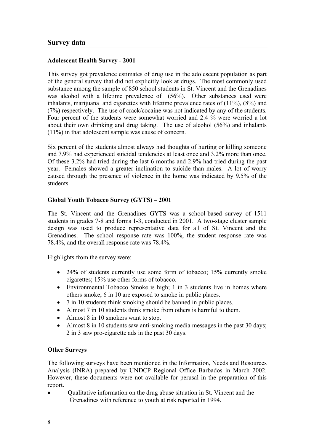#### <span id="page-15-0"></span>**Adolescent Health Survey - 2001**

This survey got prevalence estimates of drug use in the adolescent population as part of the general survey that did not explicitly look at drugs. The most commonly used substance among the sample of 850 school students in St. Vincent and the Grenadines was alcohol with a lifetime prevalence of (56%). Other substances used were inhalants, marijuana and cigarettes with lifetime prevalence rates of (11%), (8%) and (7%) respectively. The use of crack/cocaine was not indicated by any of the students. Four percent of the students were somewhat worried and 2.4 % were worried a lot about their own drinking and drug taking. The use of alcohol (56%) and inhalants (11%) in that adolescent sample was cause of concern.

Six percent of the students almost always had thoughts of hurting or killing someone and 7.9% had experienced suicidal tendencies at least once and 3.2% more than once. Of these 3.2% had tried during the last 6 months and 2.9% had tried during the past year. Females showed a greater inclination to suicide than males. A lot of worry caused through the presence of violence in the home was indicated by 9.5% of the students.

#### **Global Youth Tobacco Survey (GYTS) – 2001**

The St. Vincent and the Grenadines GYTS was a school-based survey of 1511 students in grades 7-8 and forms 1-3, conducted in 2001. A two-stage cluster sample design was used to produce representative data for all of St. Vincent and the Grenadines. The school response rate was 100%, the student response rate was 78.4%, and the overall response rate was 78.4%.

Highlights from the survey were:

- 24% of students currently use some form of tobacco; 15% currently smoke cigarettes; 15% use other forms of tobacco.
- Environmental Tobacco Smoke is high; 1 in 3 students live in homes where others smoke; 6 in 10 are exposed to smoke in public places.
- 7 in 10 students think smoking should be banned in public places.
- Almost 7 in 10 students think smoke from others is harmful to them.
- Almost 8 in 10 smokers want to stop.
- Almost 8 in 10 students saw anti-smoking media messages in the past 30 days; 2 in 3 saw pro-cigarette ads in the past 30 days.

#### **Other Surveys**

The following surveys have been mentioned in the Information, Needs and Resources Analysis (INRA) prepared by UNDCP Regional Office Barbados in March 2002. However, these documents were not available for perusal in the preparation of this report.

• Qualitative information on the drug abuse situation in St. Vincent and the Grenadines with reference to youth at risk reported in 1994.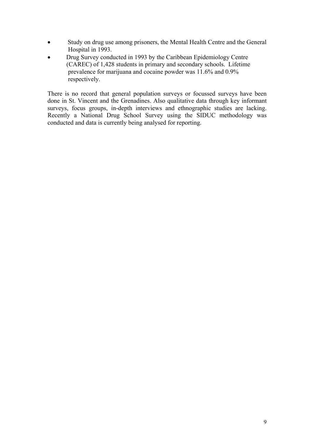- Study on drug use among prisoners, the Mental Health Centre and the General Hospital in 1993.
- Drug Survey conducted in 1993 by the Caribbean Epidemiology Centre (CAREC) of 1,428 students in primary and secondary schools. Lifetime prevalence for marijuana and cocaine powder was 11.6% and 0.9% respectively.

There is no record that general population surveys or focussed surveys have been done in St. Vincent and the Grenadines. Also qualitative data through key informant surveys, focus groups, in-depth interviews and ethnographic studies are lacking. Recently a National Drug School Survey using the SIDUC methodology was conducted and data is currently being analysed for reporting.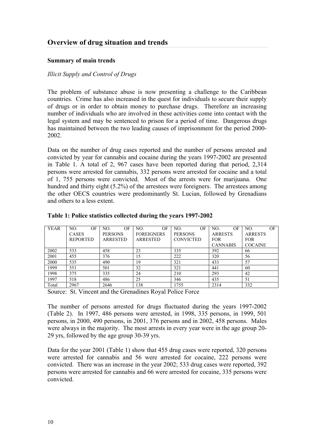## <span id="page-17-0"></span>**Overview of drug situation and trends**

#### **Summary of main trends**

#### *Illicit Supply and Control of Drugs*

The problem of substance abuse is now presenting a challenge to the Caribbean countries. Crime has also increased in the quest for individuals to secure their supply of drugs or in order to obtain money to purchase drugs. Therefore an increasing number of individuals who are involved in these activities come into contact with the legal system and may be sentenced to prison for a period of time. Dangerous drugs has maintained between the two leading causes of imprisonment for the period 2000- 2002.

Data on the number of drug cases reported and the number of persons arrested and convicted by year for cannabis and cocaine during the years 1997-2002 are presented in Table 1. A total of 2, 967 cases have been reported during that period, 2,314 persons were arrested for cannabis, 332 persons were arrested for cocaine and a total of 1, 755 persons were convicted. Most of the arrests were for marijuana. One hundred and thirty eight (5.2%) of the arrestees were foreigners. The arrestees among the other OECS countries were predominantly St. Lucian, followed by Grenadians and others to a less extent.

| <b>YEAR</b> | OF<br>NO.       | ОF<br>NO.       | ОF<br>NO.         | OF<br>NO.        | OF<br>NO.       | OF<br>NO.      |
|-------------|-----------------|-----------------|-------------------|------------------|-----------------|----------------|
|             | <b>CASES</b>    | <b>PERSONS</b>  | <b>FOREIGNERS</b> | <b>PERSONS</b>   | <b>ARRESTS</b>  | <b>ARRESTS</b> |
|             | <b>REPORTED</b> | <b>ARRESTED</b> | <b>ARRESTED</b>   | <b>CONVICTED</b> | <b>FOR</b>      | <b>FOR</b>     |
|             |                 |                 |                   |                  | <b>CANNABIS</b> | <b>COCAINE</b> |
| 2002        | 533             | 458             | 23                | 335              | 392             | 66             |
| 2001        | 455             | 376             | 15                | 222              | 320             | 56             |
| 2000        | 535             | 490             | 19                | 321              | 433             | 57             |
| 1999        | 551             | 501             | 32                | 321              | 441             | 60             |
| 1998        | 375             | 335             | 24                | 210              | 293             | 42             |
| 1997        | 518             | 486             | 25                | 346              | 435             | 51             |
| Total       | 2967            | 2646            | 138               | 1755             | 2314            | 332            |

#### **Table 1: Police statistics collected during the years 1997-2002**

Source: St. Vincent and the Grenadines Royal Police Force

The number of persons arrested for drugs fluctuated during the years 1997-2002 (Table 2). In 1997, 486 persons were arrested, in 1998, 335 persons, in 1999, 501 persons, in 2000, 490 persons, in 2001, 376 persons and in 2002, 458 persons. Males were always in the majority. The most arrests in every year were in the age group 20- 29 yrs, followed by the age group 30-39 yrs.

Data for the year 2001 (Table 1) show that 455 drug cases were reported, 320 persons were arrested for cannabis and 56 were arrested for cocaine, 222 persons were convicted. There was an increase in the year 2002; 533 drug cases were reported, 392 persons were arrested for cannabis and 66 were arrested for cocaine, 335 persons were convicted.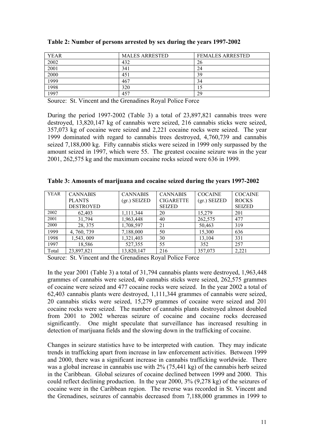| YEAR | <b>MALES ARRESTED</b> | <b>FEMALES ARRESTED</b> |
|------|-----------------------|-------------------------|
| 2002 | 432                   | 26                      |
| 2001 | 341                   | 24                      |
| 2000 | 451                   | 39                      |
| 1999 | 467                   | 34                      |
| 1998 | 320                   |                         |
| 997  | 457                   | 29                      |

| Table 2: Number of persons arrested by sex during the years 1997-2002 |
|-----------------------------------------------------------------------|
|-----------------------------------------------------------------------|

Source: St. Vincent and the Grenadines Royal Police Force

During the period 1997-2002 (Table 3) a total of 23,897,821 cannabis trees were destroyed, 13,820,147 kg of cannabis were seized, 216 cannabis sticks were seized, 357,073 kg of cocaine were seized and 2,221 cocaine rocks were seized. The year 1999 dominated with regard to cannabis trees destroyed, 4,760,739 and cannabis seized 7,188,000 kg. Fifty cannabis sticks were seized in 1999 only surpassed by the amount seized in 1997, which were 55. The greatest cocaine seizure was in the year 2001, 262,575 kg and the maximum cocaine rocks seized were 636 in 1999.

**Table 3: Amounts of marijuana and cocaine seized during the years 1997-2002** 

| <b>YEAR</b> | <b>CANNABIS</b>  | <b>CANNABIS</b> | <b>CANNABIS</b>  | <b>COCAINE</b> | <b>COCAINE</b> |
|-------------|------------------|-----------------|------------------|----------------|----------------|
|             | <b>PLANTS</b>    | $(gr.)$ SEIZED  | <b>CIGARETTE</b> | $(gr.)$ SEIZED | <b>ROCKS</b>   |
|             | <b>DESTROYED</b> |                 | <b>SEIZED</b>    |                | <b>SEIZED</b>  |
| 2002        | 62,403           | 1,111,344       | 20               | 15,279         | 201            |
| 2001        | 31,794           | 1,963,448       | 40               | 262,575        | 477            |
| 2000        | 28, 375          | 1,708,597       | 21               | 50,463         | 319            |
| 1999        | 4, 760, 739      | 7,188,000       | 50               | 15,300         | 636            |
| 1998        | 1,543,009        | 1,321,403       | 30               | 13,104         | 331            |
| 1997        | 18,586           | 527,355         | 55               | 352            | 257            |
| Total       | 23,897,821       | 13,820,147      | 216              | 357,073        | 2,221          |

Source: St. Vincent and the Grenadines Royal Police Force

In the year 2001 (Table 3) a total of 31,794 cannabis plants were destroyed, 1,963,448 grammes of cannabis were seized, 40 cannabis sticks were seized, 262,575 grammes of cocaine were seized and 477 cocaine rocks were seized. In the year 2002 a total of 62,403 cannabis plants were destroyed, 1,111,344 grammes of cannabis were seized, 20 cannabis sticks were seized, 15,279 grammes of cocaine were seized and 201 cocaine rocks were seized. The number of cannabis plants destroyed almost doubled from 2001 to 2002 whereas seizure of cocaine and cocaine rocks decreased significantly. One might speculate that surveillance has increased resulting in detection of marijuana fields and the slowing down in the trafficking of cocaine.

Changes in seizure statistics have to be interpreted with caution. They may indicate trends in trafficking apart from increase in law enforcement activities. Between 1999 and 2000, there was a significant increase in cannabis trafficking worldwide. There was a global increase in cannabis use with 2% (75,441 kg) of the cannabis herb seized in the Caribbean. Global seizures of cocaine declined between 1999 and 2000. This could reflect declining production. In the year 2000, 3% (9,278 kg) of the seizures of cocaine were in the Caribbean region. The reverse was recorded in St. Vincent and the Grenadines, seizures of cannabis decreased from 7,188,000 grammes in 1999 to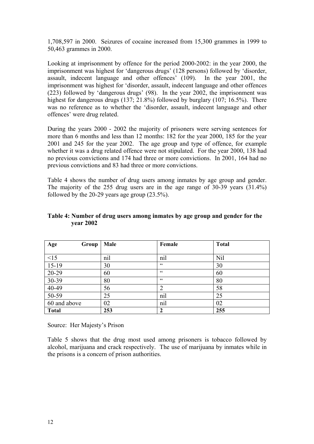1,708,597 in 2000. Seizures of cocaine increased from 15,300 grammes in 1999 to 50,463 grammes in 2000.

Looking at imprisonment by offence for the period 2000-2002: in the year 2000, the imprisonment was highest for 'dangerous drugs' (128 persons) followed by 'disorder, assault, indecent language and other offences' (109). In the year 2001, the imprisonment was highest for 'disorder, assault, indecent language and other offences (223) followed by 'dangerous drugs' (98). In the year 2002, the imprisonment was highest for dangerous drugs (137; 21.8%) followed by burglary (107; 16.5%). There was no reference as to whether the 'disorder, assault, indecent language and other offences' were drug related.

During the years 2000 - 2002 the majority of prisoners were serving sentences for more than 6 months and less than 12 months: 182 for the year 2000, 185 for the year 2001 and 245 for the year 2002. The age group and type of offence, for example whether it was a drug related offence were not stipulated. For the year 2000, 138 had no previous convictions and 174 had three or more convictions. In 2001, 164 had no previous convictions and 83 had three or more convictions.

Table 4 shows the number of drug users among inmates by age group and gender. The majority of the 255 drug users are in the age range of 30-39 years (31.4%) followed by the 20-29 years age group  $(23.5\%)$ .

| Age<br>Group | Male | Female           | <b>Total</b> |
|--------------|------|------------------|--------------|
|              |      |                  |              |
| <15          | nil  | nil              | Nil          |
| $15-19$      | 30   | cc               | 30           |
| 20-29        | 60   | $\epsilon$       | 60           |
| 30-39        | 80   | $\epsilon$       | 80           |
| $40-49$      | 56   | $\overline{2}$   | 58           |
| $50-59$      | 25   | nil              | 25           |
| 60 and above | 02   | nil              | 02           |
| <b>Total</b> | 253  | $\boldsymbol{2}$ | 255          |

#### **Table 4: Number of drug users among inmates by age group and gender for the year 2002**

Source: Her Majesty's Prison

Table 5 shows that the drug most used among prisoners is tobacco followed by alcohol, marijuana and crack respectively. The use of marijuana by inmates while in the prisons is a concern of prison authorities.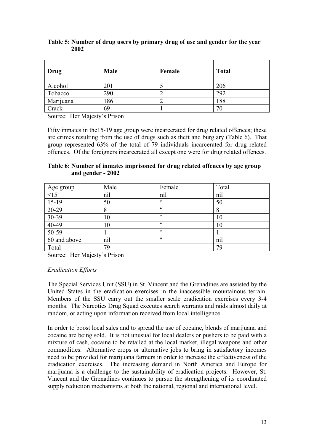| Drug      | Male | Female | <b>Total</b> |
|-----------|------|--------|--------------|
| Alcohol   | 201  |        | 206          |
| Tobacco   | 290  |        | 292          |
| Marijuana | 186  |        | 188          |
| Crack     | 69   |        | 70           |

#### **Table 5: Number of drug users by primary drug of use and gender for the year 2002**

Source: Her Majesty's Prison

Fifty inmates in the15-19 age group were incarcerated for drug related offences; these are crimes resulting from the use of drugs such as theft and burglary (Table 6). That group represented 63% of the total of 79 individuals incarcerated for drug related offences. Of the foreigners incarcerated all except one were for drug related offences.

#### **Table 6: Number of inmates imprisoned for drug related offences by age group and gender - 2002**

|                                             | Male | Female | Total |
|---------------------------------------------|------|--------|-------|
|                                             | nil  | nil    | nil   |
| Age group<br>$\frac{<15}{15-19}$            | 50   | 66     | 50    |
| $20-29$                                     | 8    | 66     | 8     |
|                                             | 10   | C      | 10    |
| $\frac{30-39}{40-49}$ $\frac{40-49}{50-59}$ | 10   | 66     | 10    |
|                                             |      | C      |       |
| 60 and above                                | nil  | "      | nil   |
| Total                                       | 79   |        | 79    |

Source: Her Majesty's Prison

#### *Eradication Efforts*

The Special Services Unit (SSU) in St. Vincent and the Grenadines are assisted by the United States in the eradication exercises in the inaccessible mountainous terrain. Members of the SSU carry out the smaller scale eradication exercises every 3-4 months. The Narcotics Drug Squad executes search warrants and raids almost daily at random, or acting upon information received from local intelligence.

In order to boost local sales and to spread the use of cocaine, blends of marijuana and cocaine are being sold. It is not unusual for local dealers or pushers to be paid with a mixture of cash, cocaine to be retailed at the local market, illegal weapons and other commodities. Alternative crops or alternative jobs to bring in satisfactory incomes need to be provided for marijuana farmers in order to increase the effectiveness of the eradication exercises. The increasing demand in North America and Europe for marijuana is a challenge to the sustainability of eradication projects. However, St. Vincent and the Grenadines continues to pursue the strengthening of its coordinated supply reduction mechanisms at both the national, regional and international level.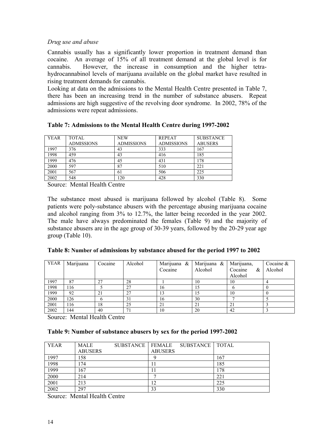#### <span id="page-21-0"></span>*Drug use and abuse*

Cannabis usually has a significantly lower proportion in treatment demand than cocaine. An average of 15% of all treatment demand at the global level is for cannabis. However, the increase in consumption and the higher tetrahydrocannabinol levels of marijuana available on the global market have resulted in rising treatment demands for cannabis.

Looking at data on the admissions to the Mental Health Centre presented in Table 7, there has been an increasing trend in the number of substance abusers. Repeat admissions are high suggestive of the revolving door syndrome. In 2002, 78% of the admissions were repeat admissions.

| <b>YEAR</b> | <b>TOTAL</b><br><b>ADMISSIONS</b> | <b>NEW</b><br><b>ADMISSIONS</b> | <b>REPEAT</b><br><b>ADMISSIONS</b> | <b>SUBSTANCE</b><br><b>ABUSERS</b> |
|-------------|-----------------------------------|---------------------------------|------------------------------------|------------------------------------|
| 1997        | 376                               | 43                              | 333                                | 167                                |
| 1998        | 459                               | 43                              | 416                                | 185                                |
| 1999        | 476                               | 45                              | 431                                | 178                                |
| 2000        | 597                               | 87                              | 510                                | 221                                |
| 2001        | 567                               | 61                              | 506                                | 225                                |
| 2002        | 548                               | .20                             | 428                                | 330                                |

#### **Table 7: Admissions to the Mental Health Centre during 1997-2002**

Source: Mental Health Centre

The substance most abused is marijuana followed by alcohol (Table 8). Some patients were poly-substance abusers with the percentage abusing marijuana cocaine and alcohol ranging from 3% to 12.7%, the latter being recorded in the year 2002. The male have always predominated the females (Table 9) and the majority of substance abusers are in the age group of 30-39 years, followed by the 20-29 year age group (Table 10).

| <b>YEAR</b> | Marijuana | Cocaine | Alcohol | Marijuana & | Marijuana & | Marijuana,   | Cocaine $&$ |
|-------------|-----------|---------|---------|-------------|-------------|--------------|-------------|
|             |           |         |         | Cocaine     | Alcohol     | Cocaine<br>& | Alcohol     |
|             |           |         |         |             |             | Alcohol      |             |
| 1997        | 87        | 27      | 28      |             | 10          | 10           |             |
| 1998        | 116       |         | 27      | 16          | 15          |              |             |
| 1999        | 92        | 21      | 27      | 13          | 15          | 10           |             |
| 2000        | 126       |         | 31      | 16          | 30          |              |             |
| 2001        | 116       | 18      | 25      | 21          | 21          | 21           |             |
| 2002        | 144       | 40      | 71      | 10          | 20          | 42           |             |

Source: Mental Health Centre

#### **Table 9: Number of substance abusers by sex for the period 1997-2002**

| YEAR | <b>MALE</b>    | <b>SUBSTANCE   FEMALE</b> |                | SUBSTANCE   TOTAL |     |
|------|----------------|---------------------------|----------------|-------------------|-----|
|      | <b>ABUSERS</b> |                           | <b>ABUSERS</b> |                   |     |
| 1997 | 158            |                           |                |                   | 167 |
| 1998 | 174            |                           | П              |                   | 185 |
| 1999 | 167            |                           | 11             |                   | 178 |
| 2000 | 214            |                           |                |                   | 221 |
| 2001 | 213            |                           | 12             |                   | 225 |
| 2002 | 297            |                           | 33             |                   | 330 |

Source: Mental Health Centre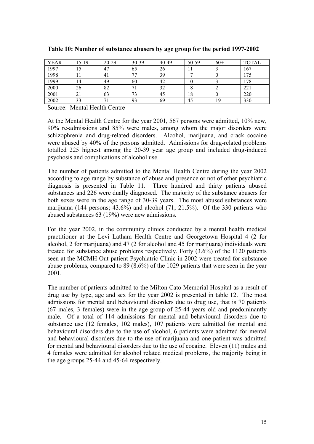| <b>YEAR</b> | 15-19 | $20 - 29$ | 30-39          | 40-49 | 50-59 | $60+$ | <b>TOTAL</b> |
|-------------|-------|-----------|----------------|-------|-------|-------|--------------|
| 1997        |       | 47        | 65             | 26    | 11    |       | 167          |
| 1998        |       | 41        | 7 <sup>7</sup> | 39    |       |       | 175          |
| 1999        | 14    | 49        | 60             | 42    | 10    |       | 178          |
| 2000        | 26    | 82        | 71<br>-1       | 32    |       | ∸     | 221          |
| 2001        |       | 63        | 73             | 45    | 18    |       | 220          |
| 2002        | 33    | 71        | 93             | 69    | 45    | 19    | 330          |

#### **Table 10: Number of substance abusers by age group for the period 1997-2002**

Source: Mental Health Centre

At the Mental Health Centre for the year 2001, 567 persons were admitted, 10% new, 90% re-admissions and 85% were males, among whom the major disorders were schizophrenia and drug-related disorders. Alcohol, marijuana, and crack cocaine were abused by 40% of the persons admitted. Admissions for drug-related problems totalled 225 highest among the 20-39 year age group and included drug-induced psychosis and complications of alcohol use.

The number of patients admitted to the Mental Health Centre during the year 2002 according to age range by substance of abuse and presence or not of other psychiatric diagnosis is presented in Table 11. Three hundred and thirty patients abused substances and 226 were dually diagnosed. The majority of the substance abusers for both sexes were in the age range of 30-39 years. The most abused substances were marijuana (144 persons; 43.6%) and alcohol (71; 21.5%). Of the 330 patients who abused substances 63 (19%) were new admissions.

For the year 2002, in the community clinics conducted by a mental health medical practitioner at the Levi Latham Health Centre and Georgetown Hospital 4 (2 for alcohol, 2 for marijuana) and 47 (2 for alcohol and 45 for marijuana) individuals were treated for substance abuse problems respectively. Forty (3.6%) of the 1120 patients seen at the MCMH Out-patient Psychiatric Clinic in 2002 were treated for substance abuse problems, compared to 89 (8.6%) of the 1029 patients that were seen in the year 2001.

The number of patients admitted to the Milton Cato Memorial Hospital as a result of drug use by type, age and sex for the year 2002 is presented in table 12. The most admissions for mental and behavioural disorders due to drug use, that is 70 patients (67 males, 3 females) were in the age group of 25-44 years old and predominantly male. Of a total of 114 admissions for mental and behavioural disorders due to substance use (12 females, 102 males), 107 patients were admitted for mental and behavioural disorders due to the use of alcohol, 6 patients were admitted for mental and behavioural disorders due to the use of marijuana and one patient was admitted for mental and behavioural disorders due to the use of cocaine. Eleven (11) males and 4 females were admitted for alcohol related medical problems, the majority being in the age groups 25-44 and 45-64 respectively.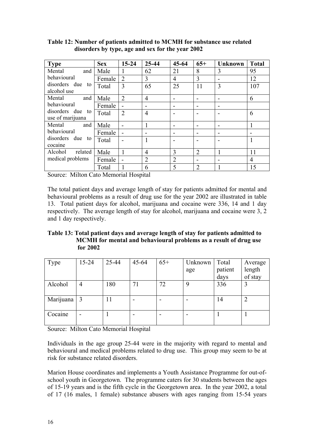| <b>Type</b>                          | <b>Sex</b> | $15 - 24$      | 25-44          | $45 - 64$      | $65+$          | <b>Unknown</b> | <b>Total</b> |
|--------------------------------------|------------|----------------|----------------|----------------|----------------|----------------|--------------|
| Mental<br>and                        | Male       | 1              | 62             | 21             | 8              | 3              | 95           |
| behavioural                          | Female     | $\overline{2}$ | 3              | 4              | 3              |                | 12           |
| disorders due<br>to<br>alcohol use   | Total      | 3              | 65             | 25             | 11             | 3              | 107          |
| Mental<br>and                        | Male       | $\overline{2}$ | $\overline{4}$ |                |                |                | 6            |
| behavioural                          | Female     | $\blacksquare$ |                |                |                |                |              |
| disorders due to<br>use of marijuana | Total      | $\overline{2}$ | $\overline{4}$ |                |                |                | 6            |
| and<br>Mental                        | Male       |                |                |                |                |                |              |
| behavioural                          | Female     |                |                |                |                |                |              |
| disorders due to<br>cocaine          | Total      |                | 1              |                |                |                |              |
| Alcohol<br>related                   | Male       | 1              | $\overline{4}$ | 3              | $\overline{2}$ | 1              | 11           |
| medical problems                     | Female     | -              | $\overline{2}$ | $\overline{2}$ |                |                | 4            |
|                                      | Total      |                | 6              | 5              | $\overline{2}$ |                | 15           |

**Table 12: Number of patients admitted to MCMH for substance use related disorders by type, age and sex for the year 2002** 

Source: Milton Cato Memorial Hospital

The total patient days and average length of stay for patients admitted for mental and behavioural problems as a result of drug use for the year 2002 are illustrated in table 13. Total patient days for alcohol, marijuana and cocaine were 336, 14 and 1 day respectively. The average length of stay for alcohol, marijuana and cocaine were 3, 2 and 1 day respectively.

**Table 13: Total patient days and average length of stay for patients admitted to MCMH for mental and behavioural problems as a result of drug use for 2002** 

| Type      | $15 - 24$ | 25-44 | 45-64 | $65+$ | Unknown | Total   | Average |
|-----------|-----------|-------|-------|-------|---------|---------|---------|
|           |           |       |       |       | age     | patient | length  |
|           |           |       |       |       |         | days    | of stay |
| Alcohol   | 4         | 180   | 71    | 72    | 9       | 336     |         |
|           |           |       |       |       |         |         |         |
| Marijuana |           | 11    |       |       |         | 14      |         |
| Cocaine   |           |       |       | ۰     |         |         |         |

Source: Milton Cato Memorial Hospital

Individuals in the age group 25-44 were in the majority with regard to mental and behavioural and medical problems related to drug use. This group may seem to be at risk for substance related disorders.

Marion House coordinates and implements a Youth Assistance Programme for out-ofschool youth in Georgetown. The programme caters for 30 students between the ages of 15-19 years and is the fifth cycle in the Georgetown area. In the year 2002, a total of 17 (16 males, 1 female) substance abusers with ages ranging from 15-54 years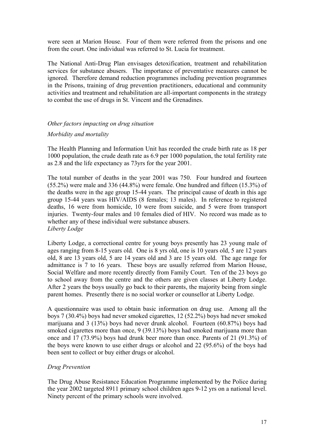<span id="page-24-0"></span>were seen at Marion House. Four of them were referred from the prisons and one from the court. One individual was referred to St. Lucia for treatment.

The National Anti-Drug Plan envisages detoxification, treatment and rehabilitation services for substance abusers. The importance of preventative measures cannot be ignored. Therefore demand reduction programmes including prevention programmes in the Prisons, training of drug prevention practitioners, educational and community activities and treatment and rehabilitation are all-important components in the strategy to combat the use of drugs in St. Vincent and the Grenadines.

#### *Other factors impacting on drug situation*

#### *Morbidity and mortality*

The Health Planning and Information Unit has recorded the crude birth rate as 18 per 1000 population, the crude death rate as 6.9 per 1000 population, the total fertility rate as 2.8 and the life expectancy as 73yrs for the year 2001.

The total number of deaths in the year 2001 was 750. Four hundred and fourteen (55.2%) were male and 336 (44.8%) were female. One hundred and fifteen (15.3%) of the deaths were in the age group 15-44 years. The principal cause of death in this age group 15-44 years was HIV/AIDS (8 females; 13 males). In reference to registered deaths, 16 were from homicide, 10 were from suicide, and 5 were from transport injuries. Twenty-four males and 10 females died of HIV. No record was made as to whether any of these individual were substance abusers. *Liberty Lodge* 

Liberty Lodge, a correctional centre for young boys presently has 23 young male of ages ranging from 8-15 years old. One is 8 yrs old, one is 10 years old, 5 are 12 years old, 8 are 13 years old, 5 are 14 years old and 3 are 15 years old. The age range for admittance is 7 to 16 years. These boys are usually referred from Marion House, Social Welfare and more recently directly from Family Court. Ten of the 23 boys go to school away from the centre and the others are given classes at Liberty Lodge. After 2 years the boys usually go back to their parents, the majority being from single parent homes. Presently there is no social worker or counsellor at Liberty Lodge.

A questionnaire was used to obtain basic information on drug use. Among all the boys 7 (30.4%) boys had never smoked cigarettes, 12 (52.2%) boys had never smoked marijuana and 3 (13%) boys had never drunk alcohol. Fourteen (60.87%) boys had smoked cigarettes more than once, 9 (39.13%) boys had smoked marijuana more than once and 17 (73.9%) boys had drunk beer more than once. Parents of 21 (91.3%) of the boys were known to use either drugs or alcohol and 22 (95.6%) of the boys had been sent to collect or buy either drugs or alcohol.

#### *Drug Prevention*

The Drug Abuse Resistance Education Programme implemented by the Police during the year 2002 targeted 8911 primary school children ages 9-12 yrs on a national level. Ninety percent of the primary schools were involved.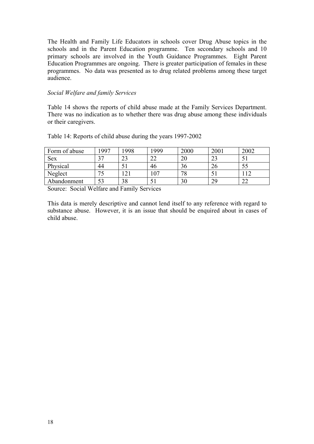The Health and Family Life Educators in schools cover Drug Abuse topics in the schools and in the Parent Education programme. Ten secondary schools and 10 primary schools are involved in the Youth Guidance Programmes. Eight Parent Education Programmes are ongoing. There is greater participation of females in these programmes. No data was presented as to drug related problems among these target audience.

#### *Social Welfare and family Services*

Table 14 shows the reports of child abuse made at the Family Services Department. There was no indication as to whether there was drug abuse among these individuals or their caregivers.

| Form of abuse | 1997           | 1998     | .999     | 2000 | 200 <sub>1</sub> | 2002   |
|---------------|----------------|----------|----------|------|------------------|--------|
| <b>Sex</b>    | n <del>n</del> | າາ<br>29 | ົາ<br>∠∠ | 20   | $\cap$<br>∠.     |        |
| Physical      | 44             |          | 46       | 36   | ົ<br>۷b          | 55     |
| Neglect       |                |          | 07،      | 70   |                  |        |
| Abandonment   | 53             | 38       |          | 30   | 29               | $\sim$ |

Table 14: Reports of child abuse during the years 1997-2002

Source: Social Welfare and Family Services

This data is merely descriptive and cannot lend itself to any reference with regard to substance abuse. However, it is an issue that should be enquired about in cases of child abuse.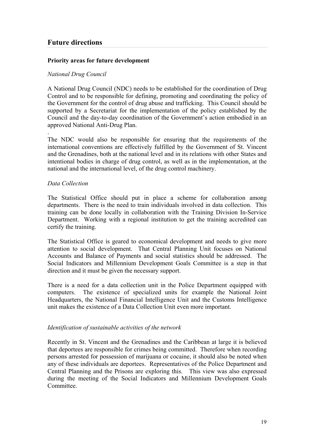## <span id="page-26-0"></span>**Future directions**

#### **Priority areas for future development**

#### *National Drug Council*

A National Drug Council (NDC) needs to be established for the coordination of Drug Control and to be responsible for defining, promoting and coordinating the policy of the Government for the control of drug abuse and trafficking. This Council should be supported by a Secretariat for the implementation of the policy established by the Council and the day-to-day coordination of the Government's action embodied in an approved National Anti-Drug Plan.

The NDC would also be responsible for ensuring that the requirements of the international conventions are effectively fulfilled by the Government of St. Vincent and the Grenadines, both at the national level and in its relations with other States and intentional bodies in charge of drug control, as well as in the implementation, at the national and the international level, of the drug control machinery.

#### *Data Collection*

.

The Statistical Office should put in place a scheme for collaboration among departments. There is the need to train individuals involved in data collection. This training can be done locally in collaboration with the Training Division In-Service Department. Working with a regional institution to get the training accredited can certify the training.

The Statistical Office is geared to economical development and needs to give more attention to social development. That Central Planning Unit focuses on National Accounts and Balance of Payments and social statistics should be addressed. The Social Indicators and Millennium Development Goals Committee is a step in that direction and it must be given the necessary support.

There is a need for a data collection unit in the Police Department equipped with computers. The existence of specialized units for example the National Joint Headquarters, the National Financial Intelligence Unit and the Customs Intelligence unit makes the existence of a Data Collection Unit even more important.

#### *Identification of sustainable activities of the network*

Recently in St. Vincent and the Grenadines and the Caribbean at large it is believed that deportees are responsible for crimes being committed. Therefore when recording persons arrested for possession of marijuana or cocaine, it should also be noted when any of these individuals are deportees. Representatives of the Police Department and Central Planning and the Prisons are exploring this. This view was also expressed during the meeting of the Social Indicators and Millennium Development Goals Committee.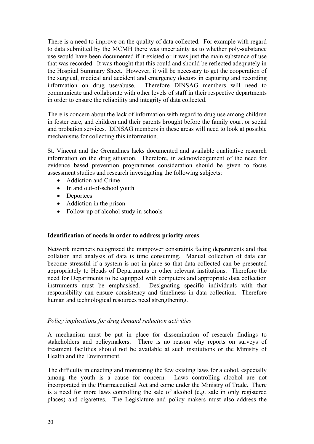<span id="page-27-0"></span>There is a need to improve on the quality of data collected. For example with regard to data submitted by the MCMH there was uncertainty as to whether poly-substance use would have been documented if it existed or it was just the main substance of use that was recorded. It was thought that this could and should be reflected adequately in the Hospital Summary Sheet. However, it will be necessary to get the cooperation of the surgical, medical and accident and emergency doctors in capturing and recording information on drug use/abuse. Therefore DINSAG members will need to communicate and collaborate with other levels of staff in their respective departments in order to ensure the reliability and integrity of data collected.

There is concern about the lack of information with regard to drug use among children in foster care, and children and their parents brought before the family court or social and probation services. DINSAG members in these areas will need to look at possible mechanisms for collecting this information.

St. Vincent and the Grenadines lacks documented and available qualitative research information on the drug situation. Therefore, in acknowledgement of the need for evidence based prevention programmes consideration should be given to focus assessment studies and research investigating the following subjects:

- Addiction and Crime
- In and out-of-school youth
- Deportees
- Addiction in the prison
- Follow-up of alcohol study in schools

#### **Identification of needs in order to address priority areas**

Network members recognized the manpower constraints facing departments and that collation and analysis of data is time consuming. Manual collection of data can become stressful if a system is not in place so that data collected can be presented appropriately to Heads of Departments or other relevant institutions. Therefore the need for Departments to be equipped with computers and appropriate data collection instruments must be emphasised. Designating specific individuals with that responsibility can ensure consistency and timeliness in data collection. Therefore human and technological resources need strengthening.

#### *Policy implications for drug demand reduction activities*

A mechanism must be put in place for dissemination of research findings to stakeholders and policymakers. There is no reason why reports on surveys of treatment facilities should not be available at such institutions or the Ministry of Health and the Environment.

The difficulty in enacting and monitoring the few existing laws for alcohol, especially among the youth is a cause for concern. Laws controlling alcohol are not incorporated in the Pharmaceutical Act and come under the Ministry of Trade. There is a need for more laws controlling the sale of alcohol (e.g. sale in only registered places) and cigarettes. The Legislature and policy makers must also address the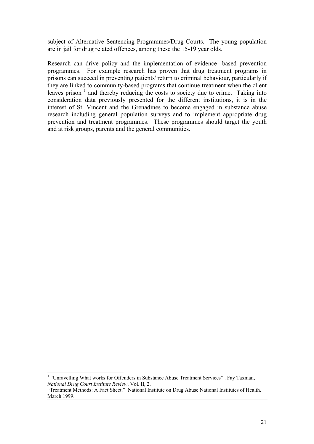subject of Alternative Sentencing Programmes/Drug Courts. The young population are in jail for drug related offences, among these the 15-19 year olds.

Research can drive policy and the implementation of evidence- based prevention programmes. For example research has proven that drug treatment programs in prisons can succeed in preventing patients' return to criminal behaviour, particularly if they are linked to community-based programs that continue treatment when the client leaves prison  $1$  and thereby reducing the costs to society due to crime. Taking into consideration data previously presented for the different institutions, it is in the interest of St. Vincent and the Grenadines to become engaged in substance abuse research including general population surveys and to implement appropriate drug prevention and treatment programmes. These programmes should target the youth and at risk groups, parents and the general communities.

<span id="page-28-0"></span> $\frac{1}{1}$ <sup>1</sup> "Unravelling What works for Offenders in Substance Abuse Treatment Services" . Fay Taxman, *National Drug Court Institute Review*, Vol. II, 2.

<sup>&</sup>quot;Treatment Methods: A Fact Sheet." National Institute on Drug Abuse National Institutes of Health. March 1999.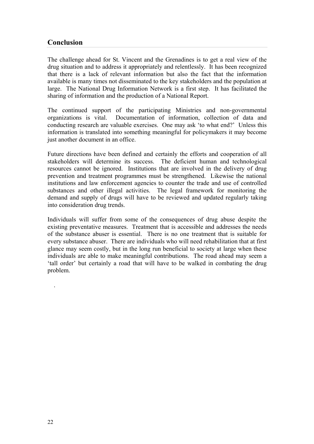## <span id="page-29-0"></span>**Conclusion**

The challenge ahead for St. Vincent and the Grenadines is to get a real view of the drug situation and to address it appropriately and relentlessly. It has been recognized that there is a lack of relevant information but also the fact that the information available is many times not disseminated to the key stakeholders and the population at large. The National Drug Information Network is a first step. It has facilitated the sharing of information and the production of a National Report.

The continued support of the participating Ministries and non-governmental organizations is vital. Documentation of information, collection of data and conducting research are valuable exercises. One may ask 'to what end?' Unless this information is translated into something meaningful for policymakers it may become just another document in an office.

Future directions have been defined and certainly the efforts and cooperation of all stakeholders will determine its success. The deficient human and technological resources cannot be ignored. Institutions that are involved in the delivery of drug prevention and treatment programmes must be strengthened. Likewise the national institutions and law enforcement agencies to counter the trade and use of controlled substances and other illegal activities. The legal framework for monitoring the demand and supply of drugs will have to be reviewed and updated regularly taking into consideration drug trends.

Individuals will suffer from some of the consequences of drug abuse despite the existing preventative measures. Treatment that is accessible and addresses the needs of the substance abuser is essential. There is no one treatment that is suitable for every substance abuser. There are individuals who will need rehabilitation that at first glance may seem costly, but in the long run beneficial to society at large when these individuals are able to make meaningful contributions. The road ahead may seem a 'tall order' but certainly a road that will have to be walked in combating the drug problem.

.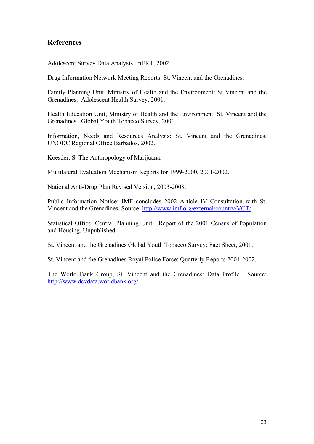### <span id="page-30-0"></span>**References**

Adolescent Survey Data Analysis. InERT, 2002.

Drug Information Network Meeting Reports: St. Vincent and the Grenadines.

Family Planning Unit, Ministry of Health and the Environment: St Vincent and the Grenadines. Adolescent Health Survey, 2001.

Health Education Unit, Ministry of Health and the Environment: St. Vincent and the Grenadines. Global Youth Tobacco Survey, 2001.

Information, Needs and Resources Analysis: St. Vincent and the Grenadines. UNODC Regional Office Barbados, 2002.

Koesder, S. The Anthropology of Marijuana.

Multilateral Evaluation Mechanism Reports for 1999-2000, 2001-2002.

National Anti-Drug Plan Revised Version, 2003-2008.

Public Information Notice: IMF concludes 2002 Article IV Consultation with St. Vincent and the Grenadines. Source: <http://www.imf.org/external/country/VCT/>

Statistical Office, Central Planning Unit. Report of the 2001 Census of Population and Housing. Unpublished.

St. Vincent and the Grenadines Global Youth Tobacco Survey: Fact Sheet, 2001.

St. Vincent and the Grenadines Royal Police Force: Quarterly Reports 2001-2002.

The World Bank Group, St. Vincent and the Grenadines: Data Profile. Source: <http://www.devdata.worldbank.org/>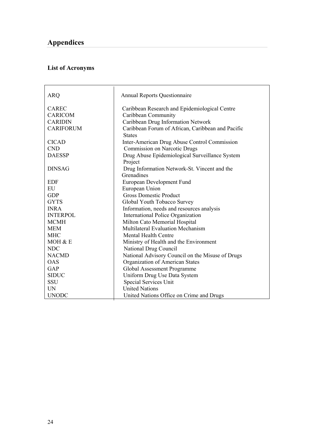## <span id="page-31-0"></span>**List of Acronyms**

| <b>ARQ</b>       | <b>Annual Reports Questionnaire</b>               |  |  |  |  |
|------------------|---------------------------------------------------|--|--|--|--|
| <b>CAREC</b>     | Caribbean Research and Epidemiological Centre     |  |  |  |  |
| <b>CARICOM</b>   | Caribbean Community                               |  |  |  |  |
| <b>CARIDIN</b>   | Caribbean Drug Information Network                |  |  |  |  |
| <b>CARIFORUM</b> | Caribbean Forum of African, Caribbean and Pacific |  |  |  |  |
|                  | <b>States</b>                                     |  |  |  |  |
| <b>CICAD</b>     | Inter-American Drug Abuse Control Commission      |  |  |  |  |
| <b>CND</b>       | Commission on Narcotic Drugs                      |  |  |  |  |
| <b>DAESSP</b>    | Drug Abuse Epidemiological Surveillance System    |  |  |  |  |
|                  | Project                                           |  |  |  |  |
| <b>DINSAG</b>    | Drug Information Network-St. Vincent and the      |  |  |  |  |
|                  | Grenadines                                        |  |  |  |  |
| <b>EDF</b>       | European Development Fund                         |  |  |  |  |
| EU               | European Union                                    |  |  |  |  |
| <b>GDP</b>       | <b>Gross Domestic Product</b>                     |  |  |  |  |
| <b>GYTS</b>      | Global Youth Tobacco Survey                       |  |  |  |  |
| <b>INRA</b>      | Information, needs and resources analysis         |  |  |  |  |
| <b>INTERPOL</b>  | International Police Organization                 |  |  |  |  |
| <b>MCMH</b>      | Milton Cato Memorial Hospital                     |  |  |  |  |
| <b>MEM</b>       | Multilateral Evaluation Mechanism                 |  |  |  |  |
| MHC              | <b>Mental Health Centre</b>                       |  |  |  |  |
| MOH & E          | Ministry of Health and the Environment            |  |  |  |  |
| <b>NDC</b>       | National Drug Council                             |  |  |  |  |
| <b>NACMD</b>     | National Advisory Council on the Misuse of Drugs  |  |  |  |  |
| <b>OAS</b>       | Organization of American States                   |  |  |  |  |
| GAP              | Global Assessment Programme                       |  |  |  |  |
| <b>SIDUC</b>     | Uniform Drug Use Data System                      |  |  |  |  |
| <b>SSU</b>       | Special Services Unit                             |  |  |  |  |
| <b>UN</b>        | <b>United Nations</b>                             |  |  |  |  |
| <b>UNODC</b>     | United Nations Office on Crime and Drugs          |  |  |  |  |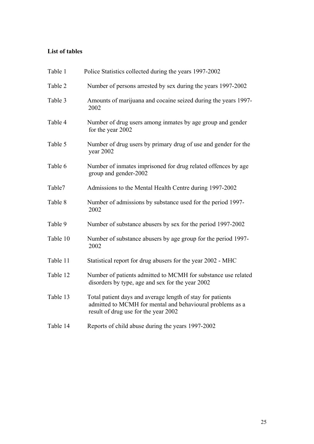## <span id="page-32-0"></span>**List of tables**

| Table 1  | Police Statistics collected during the years 1997-2002                                                                                                          |
|----------|-----------------------------------------------------------------------------------------------------------------------------------------------------------------|
| Table 2  | Number of persons arrested by sex during the years 1997-2002                                                                                                    |
| Table 3  | Amounts of marijuana and cocaine seized during the years 1997-<br>2002                                                                                          |
| Table 4  | Number of drug users among inmates by age group and gender<br>for the year 2002                                                                                 |
| Table 5  | Number of drug users by primary drug of use and gender for the<br>year $2002$                                                                                   |
| Table 6  | Number of inmates imprisoned for drug related offences by age<br>group and gender-2002                                                                          |
| Table7   | Admissions to the Mental Health Centre during 1997-2002                                                                                                         |
| Table 8  | Number of admissions by substance used for the period 1997-<br>2002                                                                                             |
| Table 9  | Number of substance abusers by sex for the period 1997-2002                                                                                                     |
| Table 10 | Number of substance abusers by age group for the period 1997-<br>2002                                                                                           |
| Table 11 | Statistical report for drug abusers for the year 2002 - MHC                                                                                                     |
| Table 12 | Number of patients admitted to MCMH for substance use related<br>disorders by type, age and sex for the year 2002                                               |
| Table 13 | Total patient days and average length of stay for patients<br>admitted to MCMH for mental and behavioural problems as a<br>result of drug use for the year 2002 |
| Table 14 | Reports of child abuse during the years 1997-2002                                                                                                               |